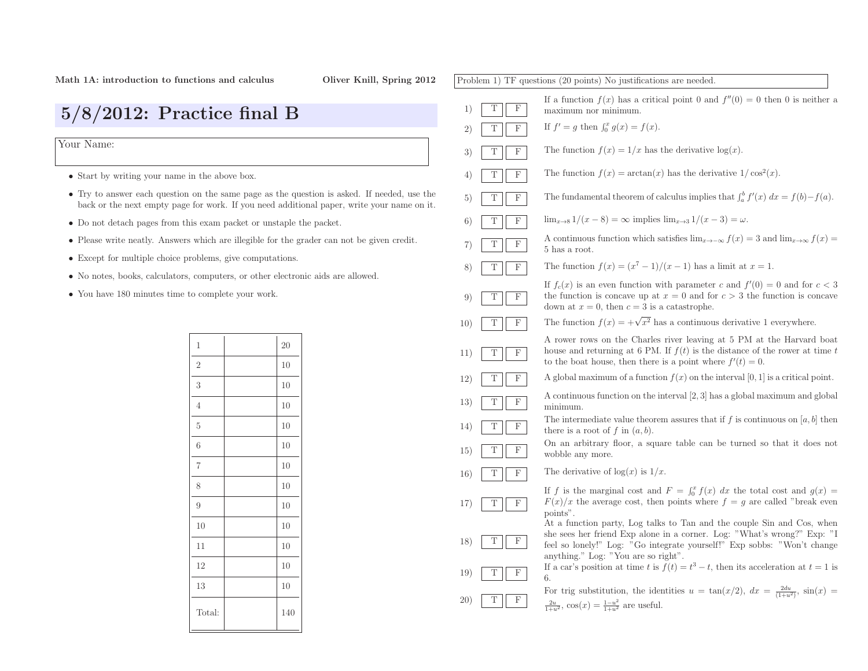| $5/8/2012$ : Practice final B                                                                                                                                                             |                     |                                                                                  | 1)                                                                   | $\mathbf F$<br>T                                                                            | If a function $f(x)$ has a critical point 0 and $f''(0) = 0$ then 0 is neither a<br>maximum nor minimum.                                                                                                               |  |  |
|-------------------------------------------------------------------------------------------------------------------------------------------------------------------------------------------|---------------------|----------------------------------------------------------------------------------|----------------------------------------------------------------------|---------------------------------------------------------------------------------------------|------------------------------------------------------------------------------------------------------------------------------------------------------------------------------------------------------------------------|--|--|
|                                                                                                                                                                                           |                     |                                                                                  | 2)                                                                   | $\mathbf F$<br>T                                                                            | If $f' = g$ then $\int_0^x g(x) = f(x)$ .                                                                                                                                                                              |  |  |
| Your Name:                                                                                                                                                                                |                     |                                                                                  |                                                                      | $\mathbf F$<br>T                                                                            | The function $f(x) = 1/x$ has the derivative $log(x)$ .                                                                                                                                                                |  |  |
| • Start by writing your name in the above box.                                                                                                                                            |                     |                                                                                  |                                                                      | $\mathbf F$<br>Т                                                                            | The function $f(x) = \arctan(x)$ has the derivative $1/\cos^2(x)$ .                                                                                                                                                    |  |  |
| • Try to answer each question on the same page as the question is asked. If needed, use the<br>back or the next empty page for work. If you need additional paper, write your name on it. |                     |                                                                                  |                                                                      | $\mathbf F$<br>T                                                                            | The fundamental theorem of calculus implies that $\int_a^b f'(x) dx = f(b) - f(a)$ .                                                                                                                                   |  |  |
| • Do not detach pages from this exam packet or unstaple the packet.                                                                                                                       |                     |                                                                                  |                                                                      | F                                                                                           | $\lim_{x\to 8} 1/(x-8) = \infty$ implies $\lim_{x\to 3} 1/(x-3) = \omega$ .                                                                                                                                            |  |  |
| • Please write neatly. Answers which are illegible for the grader can not be given credit.                                                                                                |                     |                                                                                  |                                                                      | $\mathbf F$<br>T                                                                            | A continuous function which satisfies $\lim_{x\to -\infty} f(x) = 3$ and $\lim_{x\to\infty} f(x) =$<br>5 has a root.                                                                                                   |  |  |
| • Except for multiple choice problems, give computations.                                                                                                                                 |                     |                                                                                  |                                                                      | $\mathbf F$<br>Т                                                                            | The function $f(x) = (x^7 - 1)/(x - 1)$ has a limit at $x = 1$ .                                                                                                                                                       |  |  |
|                                                                                                                                                                                           |                     | • No notes, books, calculators, computers, or other electronic aids are allowed. | 8)                                                                   |                                                                                             | If $f_c(x)$ is an even function with parameter c and $f'(0) = 0$ and for $c < 3$                                                                                                                                       |  |  |
| • You have 180 minutes time to complete your work.                                                                                                                                        |                     |                                                                                  | 9)                                                                   | $\Gamma$<br>T                                                                               | the function is concave up at $x = 0$ and for $c > 3$ the function is concave<br>down at $x = 0$ , then $c = 3$ is a catastrophe.                                                                                      |  |  |
|                                                                                                                                                                                           |                     |                                                                                  | 10)                                                                  | $\mathbf{F}$<br>Т                                                                           | The function $f(x) = +\sqrt{x^2}$ has a continuous derivative 1 everywhere.                                                                                                                                            |  |  |
|                                                                                                                                                                                           | 1<br>$\overline{2}$ | 20<br>10                                                                         | 11)                                                                  | $\mathbf{F}$<br>T                                                                           | A rower rows on the Charles river leaving at 5 PM at the Harvard boat<br>house and returning at 6 PM. If $f(t)$ is the distance of the rower at time t<br>to the boat house, then there is a point where $f'(t) = 0$ . |  |  |
|                                                                                                                                                                                           | 3                   | 10                                                                               | 12)                                                                  | $\mathbf{F}$<br>T                                                                           | A global maximum of a function $f(x)$ on the interval [0, 1] is a critical point.                                                                                                                                      |  |  |
|                                                                                                                                                                                           | 4                   | 10                                                                               | 13)                                                                  | $\,$ F<br>T                                                                                 | A continuous function on the interval $[2,3]$ has a global maximum and global<br>minimum.                                                                                                                              |  |  |
|                                                                                                                                                                                           | $5\phantom{.0}$     | 10                                                                               | 14)                                                                  | $\mathbf{F}$<br>T                                                                           | The intermediate value theorem assures that if f is continuous on [a, b] then<br>there is a root of f in $(a, b)$ .                                                                                                    |  |  |
|                                                                                                                                                                                           | 6                   | 10                                                                               | $\boldsymbol{\mathrm{F}}$<br>15)<br>T<br>$\mathbf{F}$<br><b>16</b> ) | On an arbitrary floor, a square table can be turned so that it does not<br>wobble any more. |                                                                                                                                                                                                                        |  |  |
|                                                                                                                                                                                           | $\overline{7}$      | 10                                                                               |                                                                      |                                                                                             | The derivative of $log(x)$ is $1/x$ .                                                                                                                                                                                  |  |  |
|                                                                                                                                                                                           | 8                   | 10                                                                               |                                                                      |                                                                                             | If f is the marginal cost and $F = \int_0^x f(x) dx$ the total cost and $g(x) =$                                                                                                                                       |  |  |
|                                                                                                                                                                                           | 9                   | 10                                                                               | 17)                                                                  | $\mathbf{F}$<br>T                                                                           | $F(x)/x$ the average cost, then points where $f = g$ are called "break even<br>points".                                                                                                                                |  |  |
|                                                                                                                                                                                           | 10                  | 10                                                                               |                                                                      |                                                                                             | At a function party, Log talks to Tan and the couple Sin and Cos, when<br>she sees her friend Exp alone in a corner. Log: "What's wrong?" Exp: "I                                                                      |  |  |
|                                                                                                                                                                                           | 11                  | 10                                                                               | 18)                                                                  | $\mathbf{F}$<br>T                                                                           | feel so lonely!" Log: "Go integrate yourself!" Exp sobbs: "Won't change<br>anything." Log: "You are so right".<br>If a car's position at time t is $f(t) = t^3 - t$ , then its acceleration at $t = 1$ is              |  |  |
|                                                                                                                                                                                           | 12                  | 10                                                                               | 19)                                                                  | F<br>Т                                                                                      |                                                                                                                                                                                                                        |  |  |
|                                                                                                                                                                                           | 13                  | 10                                                                               |                                                                      |                                                                                             | 6.<br>For trig substitution, the identities $u = \tan(x/2)$ , $dx = \frac{2du}{(1+u^2)}$ , $\sin(x) =$                                                                                                                 |  |  |
|                                                                                                                                                                                           | Total:              | 140                                                                              | 20)                                                                  | $\mathbf{F}$                                                                                | $\frac{2u}{1+u^2}$ , $\cos(x) = \frac{1-u^2}{1+u^2}$ are useful.                                                                                                                                                       |  |  |
|                                                                                                                                                                                           |                     |                                                                                  |                                                                      |                                                                                             |                                                                                                                                                                                                                        |  |  |

Problem 1) TF questions (20 points) No justifications are needed.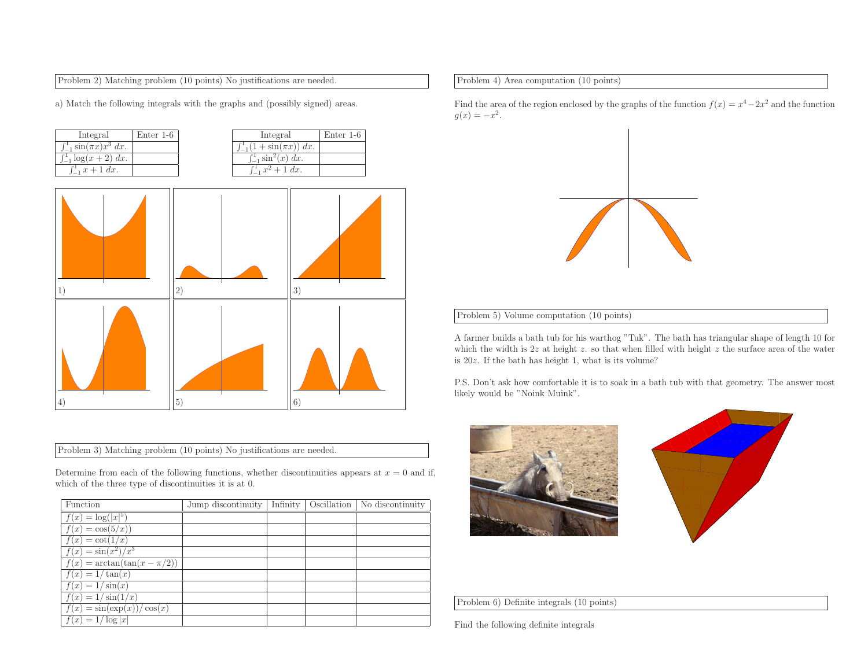Problem 2) Matching problem (10 points) No justifications are needed.

a) Match the following integrals with the graphs and (possibly signed) areas.

| Integral                             | Enter $1-6$ | Integral                               | Enter 1-6 |
|--------------------------------------|-------------|----------------------------------------|-----------|
| $\int_{-1}^{1} \sin(\pi x) x^3 dx$ . |             | $\int_{-1}^{1} (1 + \sin(\pi x)) dx$ . |           |
| $\int_{-1}^{1} \log(x+2) dx$ .       |             | $\int_{-1}^{1} \sin^{2}(x) dx$ .       |           |
| $\int_{-1}^{1} x + 1 \, dx$ .        |             | $\int_{-1}^{1} x^2 + 1 \ dx$ .         |           |



Problem 3) Matching problem (10 points) No justifications are needed.

Determine from each of the following functions, whether discontinuities appears at  $x = 0$  and if, which of the three type of discontinuities it is at 0.

| Function                                        | Jump discontinuity |  | Infinity   Oscillation   No discontinuity |
|-------------------------------------------------|--------------------|--|-------------------------------------------|
| $f(x) = \log( x ^5)$                            |                    |  |                                           |
| $f(x) = \cos(5/x)$                              |                    |  |                                           |
| $f(x) = \cot(1/x)$                              |                    |  |                                           |
| $f(x) = \sin(x^2)/x^3$                          |                    |  |                                           |
| $f(x) = \arctan(\tan(x - \pi/2))$               |                    |  |                                           |
| $f(x) = 1/\tan(x)$                              |                    |  |                                           |
| $f(x) = 1/\sin(x)$                              |                    |  |                                           |
| $f(x) = 1/\sin(1/x)$                            |                    |  |                                           |
| $\overline{f(x)} = \sin(\exp(x))/$<br>$\cos(x)$ |                    |  |                                           |
| $f(x) = 1/\log  x $                             |                    |  |                                           |

Problem 4) Area computation (10 points)

Find the area of the region enclosed by the graphs of the function  $f(x) = x^4 - 2x^2$  and the function  $g(x) = -x^2$ .

## Problem 5) Volume computation (10 points)

<sup>A</sup> farmer builds <sup>a</sup> bath tub for his warthog "Tuk". The bath has triangular shape of length <sup>10</sup> for which the width is  $2z$  at height z. so that when filled with height z the surface area of the water is <sup>20</sup><sup>z</sup>. If the bath has height 1, what is its volume?

P.S. Don't ask how comfortable it is to soak in <sup>a</sup> bath tub with that geometry. The answer most likely would be "Noink Muink".





Problem 6) Definite integrals (10 points)

Find the following definite integrals